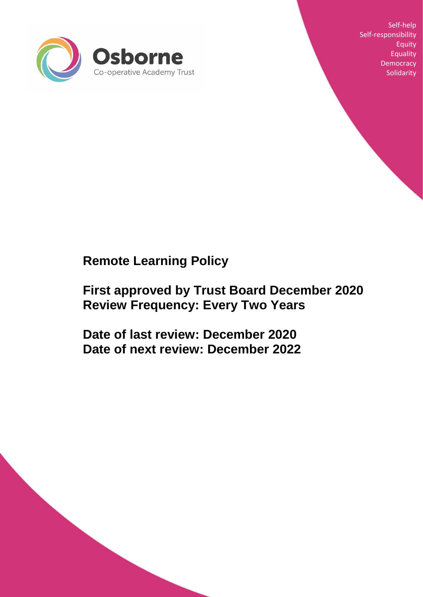

Self-help Self-responsibility Equity Equality **Democracy Solidarity** 

# **Remote Learning Policy**

# **First approved by Trust Board December 2020 Review Frequency: Every Two Years**

**Date of last review: December 2020 Date of next review: December 2022**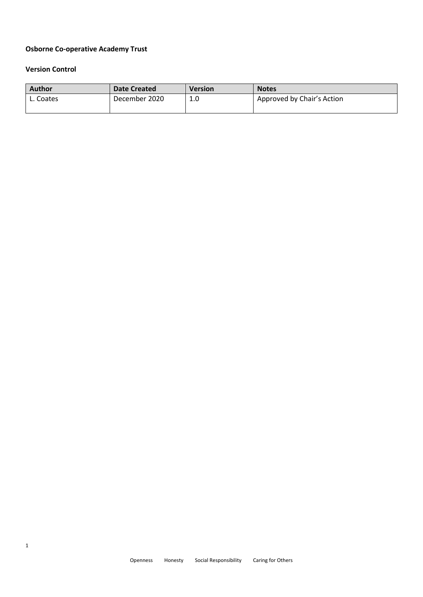# **Osborne Co-operative Academy Trust**

#### **Version Control**

| Author    | <b>Date Created</b> | <b>Version</b> | <b>Notes</b>               |
|-----------|---------------------|----------------|----------------------------|
| L. Coates | December 2020       | 1.0            | Approved by Chair's Action |
|           |                     |                |                            |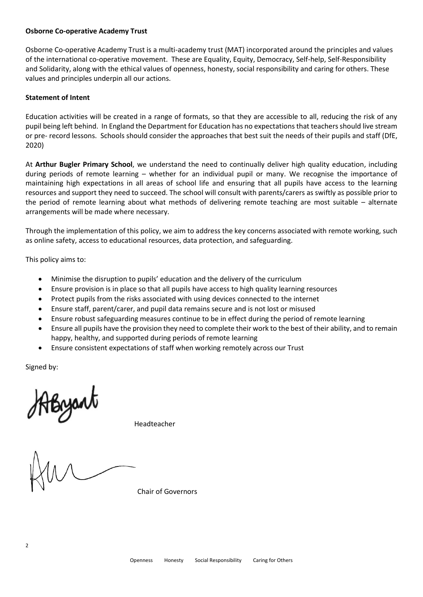#### **Osborne Co-operative Academy Trust**

Osborne Co-operative Academy Trust is a multi-academy trust (MAT) incorporated around the principles and values of the international co-operative movement. These are Equality, Equity, Democracy, Self-help, Self-Responsibility and Solidarity, along with the ethical values of openness, honesty, social responsibility and caring for others. These values and principles underpin all our actions.

#### **Statement of Intent**

Education activities will be created in a range of formats, so that they are accessible to all, reducing the risk of any pupil being left behind. In England the Department for Education has no expectations that teachers should live stream or pre- record lessons. Schools should consider the approaches that best suit the needs of their pupils and staff (DfE, 2020)

At **Arthur Bugler Primary School**, we understand the need to continually deliver high quality education, including during periods of remote learning – whether for an individual pupil or many. We recognise the importance of maintaining high expectations in all areas of school life and ensuring that all pupils have access to the learning resources and support they need to succeed. The school will consult with parents/carers as swiftly as possible prior to the period of remote learning about what methods of delivering remote teaching are most suitable – alternate arrangements will be made where necessary.

Through the implementation of this policy, we aim to address the key concerns associated with remote working, such as online safety, access to educational resources, data protection, and safeguarding.

This policy aims to:

- Minimise the disruption to pupils' education and the delivery of the curriculum
- Ensure provision is in place so that all pupils have access to high quality learning resources
- Protect pupils from the risks associated with using devices connected to the internet
- Ensure staff, parent/carer, and pupil data remains secure and is not lost or misused
- Ensure robust safeguarding measures continue to be in effect during the period of remote learning
- Ensure all pupils have the provision they need to complete their work to the best of their ability, and to remain happy, healthy, and supported during periods of remote learning
- Ensure consistent expectations of staff when working remotely across our Trust

Signed by:

Abyant

Headteacher

Chair of Governors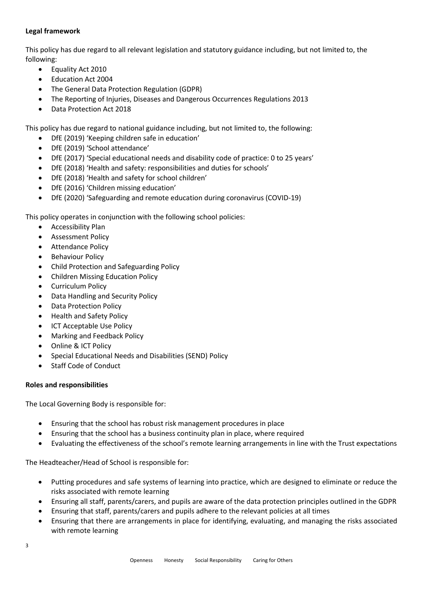## **Legal framework**

This policy has due regard to all relevant legislation and statutory guidance including, but not limited to, the following:

- Equality Act 2010
- Education Act 2004
- The General Data Protection Regulation (GDPR)
- The Reporting of Injuries, Diseases and Dangerous Occurrences Regulations 2013
- Data Protection Act 2018

This policy has due regard to national guidance including, but not limited to, the following:

- DfE (2019) 'Keeping children safe in education'
- DfE (2019) 'School attendance'
- DfE (2017) 'Special educational needs and disability code of practice: 0 to 25 years'
- DfE (2018) 'Health and safety: responsibilities and duties for schools'
- DfE (2018) 'Health and safety for school children'
- DfE (2016) 'Children missing education'
- DfE (2020) 'Safeguarding and remote education during coronavirus (COVID-19)

This policy operates in conjunction with the following school policies:

- Accessibility Plan
- Assessment Policy
- Attendance Policy
- Behaviour Policy
- Child Protection and Safeguarding Policy
- Children Missing Education Policy
- Curriculum Policy
- Data Handling and Security Policy
- Data Protection Policy
- Health and Safety Policy
- ICT Acceptable Use Policy
- Marking and Feedback Policy
- Online & ICT Policy
- Special Educational Needs and Disabilities (SEND) Policy
- Staff Code of Conduct

#### **Roles and responsibilities**

The Local Governing Body is responsible for:

- Ensuring that the school has robust risk management procedures in place
- Ensuring that the school has a business continuity plan in place, where required
- Evaluating the effectiveness of the school's remote learning arrangements in line with the Trust expectations

The Headteacher/Head of School is responsible for:

- Putting procedures and safe systems of learning into practice, which are designed to eliminate or reduce the risks associated with remote learning
- Ensuring all staff, parents/carers, and pupils are aware of the data protection principles outlined in the GDPR
- Ensuring that staff, parents/carers and pupils adhere to the relevant policies at all times
- Ensuring that there are arrangements in place for identifying, evaluating, and managing the risks associated with remote learning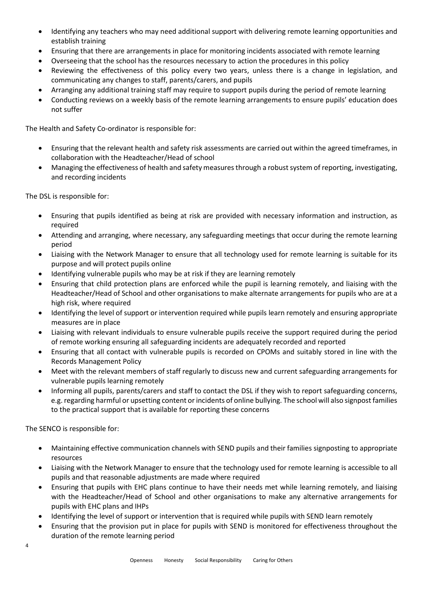- Identifying any teachers who may need additional support with delivering remote learning opportunities and establish training
- Ensuring that there are arrangements in place for monitoring incidents associated with remote learning
- Overseeing that the school has the resources necessary to action the procedures in this policy
- Reviewing the effectiveness of this policy every two years, unless there is a change in legislation, and communicating any changes to staff, parents/carers, and pupils
- Arranging any additional training staff may require to support pupils during the period of remote learning
- Conducting reviews on a weekly basis of the remote learning arrangements to ensure pupils' education does not suffer

The Health and Safety Co-ordinator is responsible for:

- Ensuring that the relevant health and safety risk assessments are carried out within the agreed timeframes, in collaboration with the Headteacher/Head of school
- Managing the effectiveness of health and safety measures through a robust system of reporting, investigating, and recording incidents

The DSL is responsible for:

- Ensuring that pupils identified as being at risk are provided with necessary information and instruction, as required
- Attending and arranging, where necessary, any safeguarding meetings that occur during the remote learning period
- Liaising with the Network Manager to ensure that all technology used for remote learning is suitable for its purpose and will protect pupils online
- Identifying vulnerable pupils who may be at risk if they are learning remotely
- Ensuring that child protection plans are enforced while the pupil is learning remotely, and liaising with the Headteacher/Head of School and other organisations to make alternate arrangements for pupils who are at a high risk, where required
- Identifying the level of support or intervention required while pupils learn remotely and ensuring appropriate measures are in place
- Liaising with relevant individuals to ensure vulnerable pupils receive the support required during the period of remote working ensuring all safeguarding incidents are adequately recorded and reported
- Ensuring that all contact with vulnerable pupils is recorded on CPOMs and suitably stored in line with the Records Management Policy
- Meet with the relevant members of staff regularly to discuss new and current safeguarding arrangements for vulnerable pupils learning remotely
- Informing all pupils, parents/carers and staff to contact the DSL if they wish to report safeguarding concerns, e.g. regarding harmful or upsetting content or incidents of online bullying. The school will also signpost families to the practical support that is available for reporting these concerns

The SENCO is responsible for:

- Maintaining effective communication channels with SEND pupils and their families signposting to appropriate resources
- Liaising with the Network Manager to ensure that the technology used for remote learning is accessible to all pupils and that reasonable adjustments are made where required
- Ensuring that pupils with EHC plans continue to have their needs met while learning remotely, and liaising with the Headteacher/Head of School and other organisations to make any alternative arrangements for pupils with EHC plans and IHPs
- Identifying the level of support or intervention that is required while pupils with SEND learn remotely
- Ensuring that the provision put in place for pupils with SEND is monitored for effectiveness throughout the duration of the remote learning period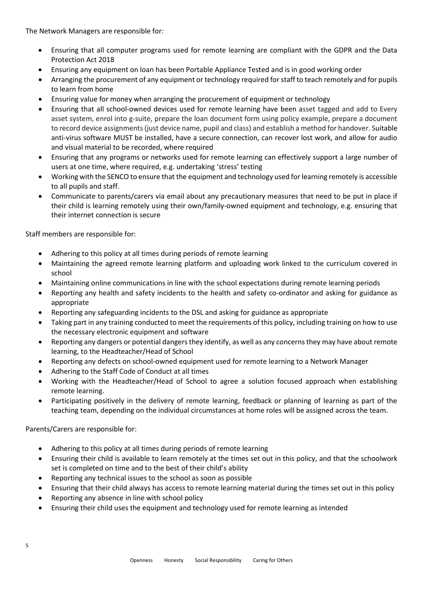The Network Managers are responsible for:

- Ensuring that all computer programs used for remote learning are compliant with the GDPR and the Data Protection Act 2018
- Ensuring any equipment on loan has been Portable Appliance Tested and is in good working order
- Arranging the procurement of any equipment or technology required for staff to teach remotely and for pupils to learn from home
- Ensuring value for money when arranging the procurement of equipment or technology
- Ensuring that all school-owned devices used for remote learning have been asset tagged and add to Every asset system, enrol into g-suite, prepare the loan document form using policy example, prepare a document to record device assignments (just device name, pupil and class) and establish a method for handover. Suitable anti-virus software MUST be installed, have a secure connection, can recover lost work, and allow for audio and visual material to be recorded, where required
- Ensuring that any programs or networks used for remote learning can effectively support a large number of users at one time, where required, e.g. undertaking 'stress' testing
- Working with the SENCO to ensure that the equipment and technology used for learning remotely is accessible to all pupils and staff.
- Communicate to parents/carers via email about any precautionary measures that need to be put in place if their child is learning remotely using their own/family-owned equipment and technology, e.g. ensuring that their internet connection is secure

Staff members are responsible for:

- Adhering to this policy at all times during periods of remote learning
- Maintaining the agreed remote learning platform and uploading work linked to the curriculum covered in school
- Maintaining online communications in line with the school expectations during remote learning periods
- Reporting any health and safety incidents to the health and safety co-ordinator and asking for guidance as appropriate
- Reporting any safeguarding incidents to the DSL and asking for guidance as appropriate
- Taking part in any training conducted to meet the requirements of this policy, including training on how to use the necessary electronic equipment and software
- Reporting any dangers or potential dangers they identify, as well as any concerns they may have about remote learning, to the Headteacher/Head of School
- Reporting any defects on school-owned equipment used for remote learning to a Network Manager
- Adhering to the Staff Code of Conduct at all times
- Working with the Headteacher/Head of School to agree a solution focused approach when establishing remote learning.
- Participating positively in the delivery of remote learning, feedback or planning of learning as part of the teaching team, depending on the individual circumstances at home roles will be assigned across the team.

Parents/Carers are responsible for:

- Adhering to this policy at all times during periods of remote learning
- Ensuring their child is available to learn remotely at the times set out in this policy, and that the schoolwork set is completed on time and to the best of their child's ability
- Reporting any technical issues to the school as soon as possible
- Ensuring that their child always has access to remote learning material during the times set out in this policy
- Reporting any absence in line with school policy
- Ensuring their child uses the equipment and technology used for remote learning as intended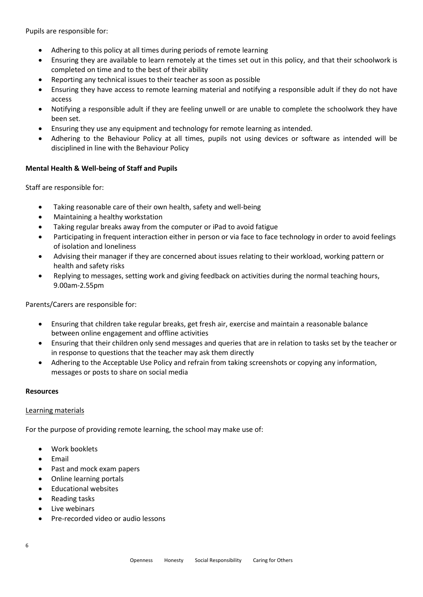Pupils are responsible for:

- Adhering to this policy at all times during periods of remote learning
- Ensuring they are available to learn remotely at the times set out in this policy, and that their schoolwork is completed on time and to the best of their ability
- Reporting any technical issues to their teacher as soon as possible
- Ensuring they have access to remote learning material and notifying a responsible adult if they do not have access
- Notifying a responsible adult if they are feeling unwell or are unable to complete the schoolwork they have been set.
- Ensuring they use any equipment and technology for remote learning as intended.
- Adhering to the Behaviour Policy at all times, pupils not using devices or software as intended will be disciplined in line with the Behaviour Policy

## **Mental Health & Well-being of Staff and Pupils**

Staff are responsible for:

- Taking reasonable care of their own health, safety and well-being
- Maintaining a healthy workstation
- Taking regular breaks away from the computer or iPad to avoid fatigue
- Participating in frequent interaction either in person or via face to face technology in order to avoid feelings of isolation and loneliness
- Advising their manager if they are concerned about issues relating to their workload, working pattern or health and safety risks
- Replying to messages, setting work and giving feedback on activities during the normal teaching hours, 9.00am-2.55pm

Parents/Carers are responsible for:

- Ensuring that children take regular breaks, get fresh air, exercise and maintain a reasonable balance between online engagement and offline activities
- Ensuring that their children only send messages and queries that are in relation to tasks set by the teacher or in response to questions that the teacher may ask them directly
- Adhering to the Acceptable Use Policy and refrain from taking screenshots or copying any information, messages or posts to share on social media

## **Resources**

#### Learning materials

For the purpose of providing remote learning, the school may make use of:

- Work booklets
- Email
- Past and mock exam papers
- Online learning portals
- Educational websites
- Reading tasks
- Live webinars
- Pre-recorded video or audio lessons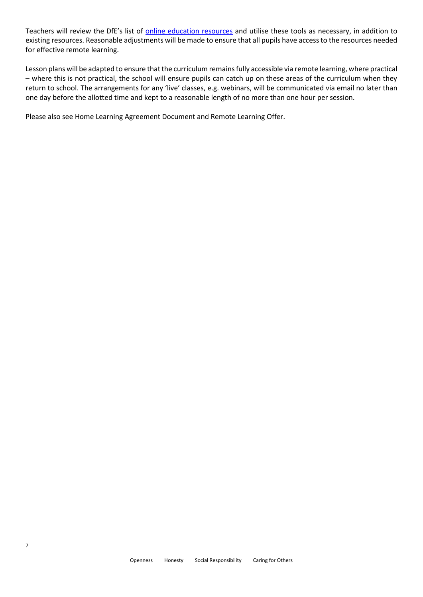Teachers will review the DfE's list of [online education resources](https://www.gov.uk/government/publications/coronavirus-covid-19-online-education-resources) and utilise these tools as necessary, in addition to existing resources. Reasonable adjustments will be made to ensure that all pupils have access to the resources needed for effective remote learning.

Lesson plans will be adapted to ensure that the curriculum remains fully accessible via remote learning, where practical – where this is not practical, the school will ensure pupils can catch up on these areas of the curriculum when they return to school. The arrangements for any 'live' classes, e.g. webinars, will be communicated via email no later than one day before the allotted time and kept to a reasonable length of no more than one hour per session.

Please also see Home Learning Agreement Document and Remote Learning Offer.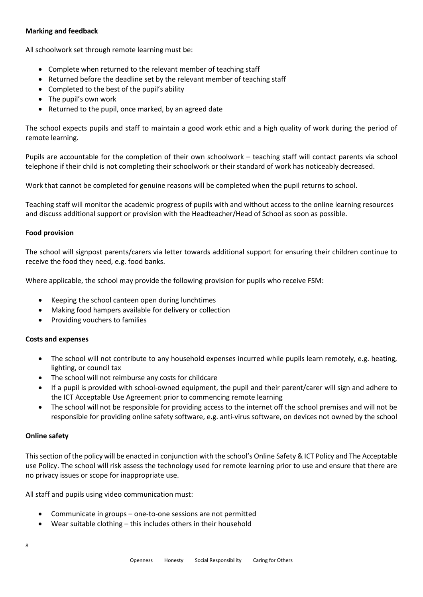#### **Marking and feedback**

All schoolwork set through remote learning must be:

- Complete when returned to the relevant member of teaching staff
- Returned before the deadline set by the relevant member of teaching staff
- Completed to the best of the pupil's ability
- The pupil's own work
- Returned to the pupil, once marked, by an agreed date

The school expects pupils and staff to maintain a good work ethic and a high quality of work during the period of remote learning.

Pupils are accountable for the completion of their own schoolwork – teaching staff will contact parents via school telephone if their child is not completing their schoolwork or their standard of work has noticeably decreased.

Work that cannot be completed for genuine reasons will be completed when the pupil returns to school.

Teaching staff will monitor the academic progress of pupils with and without access to the online learning resources and discuss additional support or provision with the Headteacher/Head of School as soon as possible.

#### **Food provision**

The school will signpost parents/carers via letter towards additional support for ensuring their children continue to receive the food they need, e.g. food banks.

Where applicable, the school may provide the following provision for pupils who receive FSM:

- Keeping the school canteen open during lunchtimes
- Making food hampers available for delivery or collection
- Providing vouchers to families

#### **Costs and expenses**

- The school will not contribute to any household expenses incurred while pupils learn remotely, e.g. heating, lighting, or council tax
- The school will not reimburse any costs for childcare
- If a pupil is provided with school-owned equipment, the pupil and their parent/carer will sign and adhere to the ICT Acceptable Use Agreement prior to commencing remote learning
- The school will not be responsible for providing access to the internet off the school premises and will not be responsible for providing online safety software, e.g. anti-virus software, on devices not owned by the school

#### **Online safety**

This section of the policy will be enacted in conjunction with the school's Online Safety & ICT Policy and The Acceptable use Policy. The school will risk assess the technology used for remote learning prior to use and ensure that there are no privacy issues or scope for inappropriate use.

All staff and pupils using video communication must:

- Communicate in groups one-to-one sessions are not permitted
- Wear suitable clothing this includes others in their household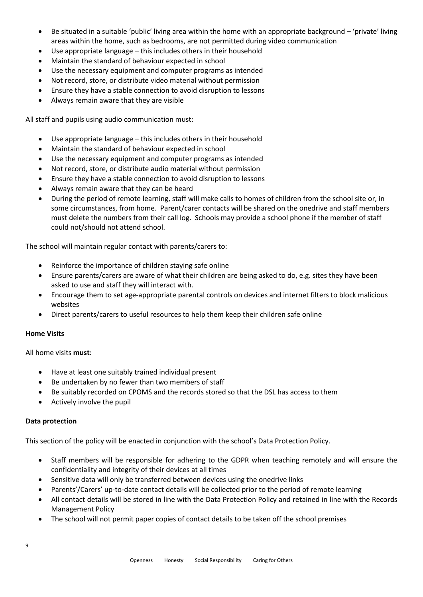- Be situated in a suitable 'public' living area within the home with an appropriate background 'private' living areas within the home, such as bedrooms, are not permitted during video communication
- Use appropriate language this includes others in their household
- Maintain the standard of behaviour expected in school
- Use the necessary equipment and computer programs as intended
- Not record, store, or distribute video material without permission
- Ensure they have a stable connection to avoid disruption to lessons
- Always remain aware that they are visible

All staff and pupils using audio communication must:

- Use appropriate language this includes others in their household
- Maintain the standard of behaviour expected in school
- Use the necessary equipment and computer programs as intended
- Not record, store, or distribute audio material without permission
- Ensure they have a stable connection to avoid disruption to lessons
- Always remain aware that they can be heard
- During the period of remote learning, staff will make calls to homes of children from the school site or, in some circumstances, from home. Parent/carer contacts will be shared on the onedrive and staff members must delete the numbers from their call log. Schools may provide a school phone if the member of staff could not/should not attend school.

The school will maintain regular contact with parents/carers to:

- Reinforce the importance of children staying safe online
- Ensure parents/carers are aware of what their children are being asked to do, e.g. sites they have been asked to use and staff they will interact with.
- Encourage them to set age-appropriate parental controls on devices and internet filters to block malicious websites
- Direct parents/carers to useful resources to help them keep their children safe online

#### **Home Visits**

All home visits **must**:

- Have at least one suitably trained individual present
- Be undertaken by no fewer than two members of staff
- Be suitably recorded on CPOMS and the records stored so that the DSL has access to them
- Actively involve the pupil

#### **Data protection**

This section of the policy will be enacted in conjunction with the school's Data Protection Policy.

- Staff members will be responsible for adhering to the GDPR when teaching remotely and will ensure the confidentiality and integrity of their devices at all times
- Sensitive data will only be transferred between devices using the onedrive links
- Parents'/Carers' up-to-date contact details will be collected prior to the period of remote learning
- All contact details will be stored in line with the Data Protection Policy and retained in line with the Records Management Policy
- The school will not permit paper copies of contact details to be taken off the school premises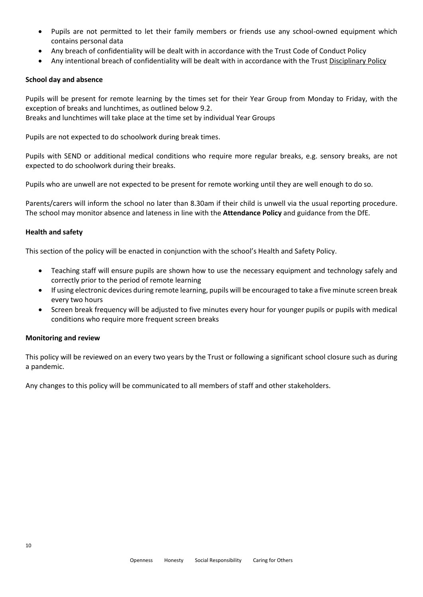- Pupils are not permitted to let their family members or friends use any school-owned equipment which contains personal data
- Any breach of confidentiality will be dealt with in accordance with the Trust Code of Conduct Policy
- Any intentional breach of confidentiality will be dealt with in accordance with the Trust Disciplinary Policy

#### **School day and absence**

Pupils will be present for remote learning by the times set for their Year Group from Monday to Friday, with the exception of breaks and lunchtimes, as outlined below 9.2. Breaks and lunchtimes will take place at the time set by individual Year Groups

Pupils are not expected to do schoolwork during break times.

Pupils with SEND or additional medical conditions who require more regular breaks, e.g. sensory breaks, are not expected to do schoolwork during their breaks.

Pupils who are unwell are not expected to be present for remote working until they are well enough to do so.

Parents/carers will inform the school no later than 8.30am if their child is unwell via the usual reporting procedure. The school may monitor absence and lateness in line with the **Attendance Policy** and guidance from the DfE.

#### **Health and safety**

This section of the policy will be enacted in conjunction with the school's Health and Safety Policy.

- Teaching staff will ensure pupils are shown how to use the necessary equipment and technology safely and correctly prior to the period of remote learning
- If using electronic devices during remote learning, pupils will be encouraged to take a five minute screen break every two hours
- Screen break frequency will be adjusted to five minutes every hour for younger pupils or pupils with medical conditions who require more frequent screen breaks

#### **Monitoring and review**

This policy will be reviewed on an every two years by the Trust or following a significant school closure such as during a pandemic.

Any changes to this policy will be communicated to all members of staff and other stakeholders.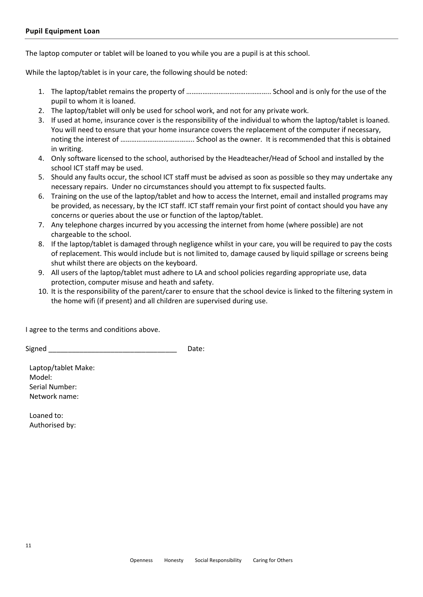The laptop computer or tablet will be loaned to you while you are a pupil is at this school.

While the laptop/tablet is in your care, the following should be noted:

- 1. The laptop/tablet remains the property of ……………………………………….. School and is only for the use of the pupil to whom it is loaned.
- 2. The laptop/tablet will only be used for school work, and not for any private work.
- 3. If used at home, insurance cover is the responsibility of the individual to whom the laptop/tablet is loaned. You will need to ensure that your home insurance covers the replacement of the computer if necessary, noting the interest of ………………………………….. School as the owner. It is recommended that this is obtained in writing.
- 4. Only software licensed to the school, authorised by the Headteacher/Head of School and installed by the school ICT staff may be used.
- 5. Should any faults occur, the school ICT staff must be advised as soon as possible so they may undertake any necessary repairs. Under no circumstances should you attempt to fix suspected faults.
- 6. Training on the use of the laptop/tablet and how to access the Internet, email and installed programs may be provided, as necessary, by the ICT staff. ICT staff remain your first point of contact should you have any concerns or queries about the use or function of the laptop/tablet.
- 7. Any telephone charges incurred by you accessing the internet from home (where possible) are not chargeable to the school.
- 8. If the laptop/tablet is damaged through negligence whilst in your care, you will be required to pay the costs of replacement. This would include but is not limited to, damage caused by liquid spillage or screens being shut whilst there are objects on the keyboard.
- 9. All users of the laptop/tablet must adhere to LA and school policies regarding appropriate use, data protection, computer misuse and heath and safety.
- 10. It is the responsibility of the parent/carer to ensure that the school device is linked to the filtering system in the home wifi (if present) and all children are supervised during use.

I agree to the terms and conditions above.

Signed **Example 20** Signed **Example 20** Signed **Example 20** and  $\overline{D}$ 

Laptop/tablet Make: Model: Serial Number: Network name:

Loaned to: Authorised by: